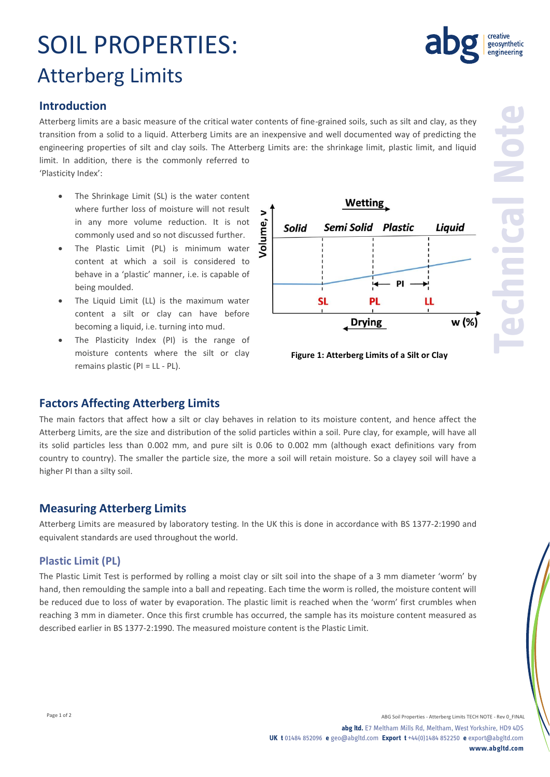# **Measuring Atterberg Limits**

Atterberg Limits are measured by laboratory testing. In the UK this is done in accordance with BS 1377-2:1990 and equivalent standards are used throughout the world.

The main factors that affect how a silt or clay behaves in relation to its moisture content, and hence affect the Atterberg Limits, are the size and distribution of the solid particles within a soil. Pure clay, for example, will have all its solid particles less than 0.002 mm, and pure silt is 0.06 to 0.002 mm (although exact definitions vary from country to country). The smaller the particle size, the more a soil will retain moisture. So a clayey soil will have a

#### **Plastic Limit (PL)**

higher PI than a silty soil.

The Plastic Limit Test is performed by rolling a moist clay or silt soil into the shape of a 3 mm diameter 'worm' by hand, then remoulding the sample into a ball and repeating. Each time the worm is rolled, the moisture content will be reduced due to loss of water by evaporation. The plastic limit is reached when the 'worm' first crumbles when reaching 3 mm in diameter. Once this first crumble has occurred, the sample has its moisture content measured as described earlier in BS 1377-2:1990. The measured moisture content is the Plastic Limit.

# SOIL PROPERTIES: Atterberg Limits

## **Introduction**

Atterberg limits are a basic measure of the critical water contents of fine-grained soils, such as silt and clay, as they transition from a solid to a liquid. Atterberg Limits are an inexpensive and well documented way of predicting the engineering properties of silt and clay soils. The Atterberg Limits are: the shrinkage limit, plastic limit, and liquid limit. In addition, there is the commonly referred to

'Plasticity Index':

- The Shrinkage Limit (SL) is the water content where further loss of moisture will not result in any more volume reduction. It is not commonly used and so not discussed further.
- The Plastic Limit (PL) is minimum water content at which a soil is considered to behave in a 'plastic' manner, i.e. is capable of being moulded.
- The Liquid Limit (LL) is the maximum water content a silt or clay can have before becoming a liquid, i.e. turning into mud.
- The Plasticity Index (PI) is the range of moisture contents where the silt or clay remains plastic (PI = LL - PL).

**Factors Affecting Atterberg Limits**